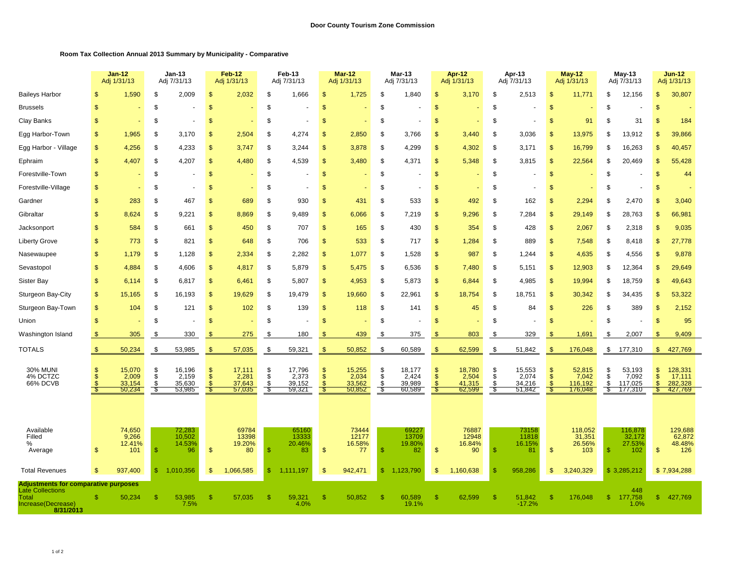## **Room Tax Collection Annual 2013 Summary by Municipality - Comparative**

|                                                                        |                     | <b>Jan-12</b><br>Adj 1/31/13 |               | Jan-13<br>Adj 7/31/13     |               | <b>Feb-12</b><br>Adj 1/31/13 |               | Feb-13<br>Adj 7/31/13 |                | <b>Mar-12</b><br>Adj 1/31/13 |                     | Mar-13<br>Adj 7/31/13     |                                        | Apr-12<br>Adj 1/31/13     |                | Apr-13<br>Adj 7/31/13 |                | May-12<br>Adj 1/31/13      |                       | May-13<br>Adj 7/31/13      |                                | <b>Jun-12</b><br>Adj 1/31/13 |  |
|------------------------------------------------------------------------|---------------------|------------------------------|---------------|---------------------------|---------------|------------------------------|---------------|-----------------------|----------------|------------------------------|---------------------|---------------------------|----------------------------------------|---------------------------|----------------|-----------------------|----------------|----------------------------|-----------------------|----------------------------|--------------------------------|------------------------------|--|
| <b>Baileys Harbor</b>                                                  | \$.                 | 1,590                        | \$            | 2,009                     | $\mathcal{S}$ | 2,032                        | \$            | 1,666                 | $\mathfrak{F}$ | 1,725                        | \$                  | 1,840                     | $\sqrt[6]{3}$                          | 3,170                     | \$             | 2,513                 | $\mathcal{S}$  | 11,77'                     | \$                    | 12,156                     | $\mathbf{s}$                   | 30,807                       |  |
| <b>Brussels</b>                                                        | $\mathcal{S}$       |                              | \$            |                           | $\mathcal{S}$ |                              | \$            |                       | $\sqrt{3}$     |                              | \$                  |                           | $\mathbf{s}$                           |                           | \$             |                       | $\mathcal{S}$  |                            | \$                    |                            | \$.                            |                              |  |
| Clay Banks                                                             |                     |                              | \$            |                           | $\mathcal{S}$ |                              | \$            |                       | $\mathfrak{s}$ |                              | \$                  |                           | $\mathfrak{s}$                         |                           | \$             |                       | $\mathcal{S}$  | 91                         | \$                    | 31                         |                                | 184                          |  |
| Egg Harbor-Town                                                        | \$                  | 1,965                        | \$            | 3,170                     | \$            | 2,504                        | S             | 4,274                 | S              | 2,850                        | \$                  | 3,766                     | \$                                     | 3,440                     | \$             | 3,036                 | S              | 13,975                     | \$                    | 13,912                     |                                | 39,866                       |  |
| Egg Harbor - Village                                                   | $\mathbf{s}$        | 4,256                        | \$            | 4,233                     | $\mathcal{S}$ | 3,747                        | \$            | 3,244                 | $\mathfrak{s}$ | 3,878                        | \$                  | 4,299                     | \$                                     | 4,302                     | \$             | 3,171                 | $\mathcal{S}$  | 16,799                     | \$                    | 16,263                     | \$                             | 40,457                       |  |
| Ephraim                                                                | $\mathbf{\$}$       | 4,407                        | \$            | 4,207                     | $\mathcal{S}$ | 4,480                        | \$            | 4,539                 | $\mathfrak{F}$ | 3,480                        | \$                  | 4,371                     | $\mathfrak{s}$                         | 5,348                     | \$             | 3,815                 | $\mathbf{\$}$  | 22,564                     | \$                    | 20,469                     | \$.                            | 55,428                       |  |
| Forestville-Town                                                       | $\mathbf{s}$        |                              | \$            |                           | $\mathcal{S}$ |                              | \$            |                       | $\sqrt{2}$     |                              | \$                  |                           | $\sqrt[6]{3}$                          |                           | \$             |                       | $\sqrt{2}$     |                            | \$                    |                            |                                | 44                           |  |
| Forestville-Village                                                    | £.                  |                              | \$            |                           | <sup>\$</sup> |                              | \$.           |                       | <sup>S</sup>   |                              | \$.                 |                           | \$                                     |                           | \$             |                       | \$             |                            | \$.                   |                            |                                |                              |  |
| Gardner                                                                | £.                  | 283                          | S             | 467                       | <sup>\$</sup> | 689                          | \$            | 930                   | <sup>\$</sup>  | 431                          | \$.                 | 533                       | \$                                     | 492                       | \$             | 162                   | $\mathfrak{s}$ | 2,294                      | \$                    | 2,470                      |                                | 3,040                        |  |
| Gibraltar                                                              | £.                  | 8,624                        | S             | 9,221                     | <sup>\$</sup> | 8,869                        | S.            | 9,489                 | $\mathfrak{s}$ | 6,066                        | \$                  | 7.219                     | $\mathfrak{S}$                         | 9.296                     | S.             | 7,284                 | $\mathbf{\$}$  | 29,149                     | \$.                   | 28,763                     | \$.                            | 66,981                       |  |
| Jacksonport                                                            |                     | 584                          | \$            | 661                       | <sup>\$</sup> | 450                          | S.            | 707                   | $\mathbf{s}$   | 165                          | \$                  | 430                       | $\mathfrak{S}$                         | 354                       | \$             | 428                   | $\mathbf{\$}$  | 2,067                      | \$                    | 2,318                      | \$.                            | 9,035                        |  |
| <b>Liberty Grove</b>                                                   | \$.                 | 773                          | \$            | 821                       | $\mathcal{S}$ | 648                          | \$            | 706                   | \$             | 533                          | \$                  | 717                       | $\mathfrak{S}$                         | 1,284                     | \$             | 889                   | $\mathcal{S}$  | 7,548                      | \$.                   | 8,418                      | \$.                            | 27,778                       |  |
| Nasewaupee                                                             | -S                  | 1,179                        | \$            | 1,128                     | $\mathcal{S}$ | 2,334                        | \$            | 2,282                 | $\mathfrak{s}$ | 1,077                        | \$                  | 1,528                     | $\mathfrak{s}$                         | 987                       | \$             | 1,244                 | $\mathcal{S}$  | 4,635                      | \$                    | 4,556                      | -S                             | 9,878                        |  |
| Sevastopol                                                             | \$.                 | 4,884                        | \$            | 4,606                     | $\mathcal{S}$ | 4,817                        | \$            | 5,879                 | $\mathfrak{F}$ | 5,475                        | \$                  | 6,536                     | $\mathfrak{S}$                         | 7,480                     | \$             | 5,151                 | $\mathcal{S}$  | 12,903                     | \$                    | 12,364                     | \$.                            | 29,649                       |  |
| <b>Sister Bay</b>                                                      | \$.                 | 6,114                        | \$            | 6,817                     | $\mathcal{S}$ | 6,461                        | \$            | 5,807                 | $\mathfrak{F}$ | 4,953                        | \$                  | 5,873                     | $\frac{1}{2}$                          | 6,844                     | \$             | 4,985                 | $\mathcal{S}$  | 19,994                     | \$                    | 18,759                     | \$.                            | 49,643                       |  |
| Sturgeon Bay-City                                                      | \$.                 | 15,165                       | \$            | 16,193                    | $\mathcal{S}$ | 19,629                       | \$            | 19,479                | $\mathfrak{s}$ | 19,660                       | \$                  | 22,961                    | $\mathfrak{s}$                         | 18,754                    | \$             | 18,751                | $\mathcal{S}$  | 30,342                     | \$                    | 34,435                     | \$                             | 53,322                       |  |
| Sturgeon Bay-Town                                                      | \$                  | 104                          | \$            | 121                       | $\mathcal{S}$ | 102                          | \$            | 139                   | $\mathfrak{F}$ | 118                          | \$                  | 141                       | \$                                     | 45                        | \$             | 84                    | $\mathcal{S}$  | 226                        | S                     | 389                        | -S                             | 2,152                        |  |
| Union                                                                  | \$.                 |                              | \$            |                           | $\mathcal{S}$ |                              | S             |                       | $\mathfrak{s}$ |                              | \$                  |                           | $\frac{1}{2}$                          |                           | \$             |                       | $\mathbf{\$}$  |                            | \$                    |                            | -S                             | 95                           |  |
| Washington Island                                                      | -S                  | 305                          | \$            | 330                       | \$            | 275                          | -S            | 180                   | S              | 439                          | \$                  | 375                       | <sup>\$</sup>                          | 803                       | S              | 329                   | \$             | 1,691                      | \$                    | 2,007                      |                                | 9,409                        |  |
| <b>TOTALS</b>                                                          | $\mathfrak{s}$      | 50,234                       | \$            | 53,985                    | $\mathbf{\$}$ | 57,035                       | \$            | 59,321                | \$             | 50,852                       | \$                  | 60,589                    | $\mathfrak{F}$                         | 62,599                    | \$             | 51,842                | \$             | 176,048                    | \$                    | 177,310                    | $\mathfrak{S}$                 | 427,769                      |  |
|                                                                        | \$                  |                              | \$            |                           | $\frac{1}{2}$ |                              |               | 17,796                | S              |                              |                     |                           |                                        |                           |                | 15,553                | $\mathcal{S}$  |                            |                       |                            |                                |                              |  |
| <b>30% MUNI</b><br>4% DCTZC<br>66% DCVB                                | $\mathbf{s}$<br>\$. | 15,070<br>2,009<br>33,154    | \$<br>£       | 16,196<br>2,159<br>35,630 | $\mathsf{\$}$ | 17,111<br>2,281<br>37,643    | \$<br>\$<br>S | 2,373<br>39,152       | $\mathcal{S}$  | 15,255<br>2,034<br>33,562    | $\frac{1}{2}$<br>\$ | 18,177<br>2,424<br>39,989 | \$<br>$\mathfrak{s}$<br>$\mathfrak{L}$ | 18,780<br>2,504<br>41,315 | \$<br>\$<br>\$ | 2,074<br>34,216       | $\mathcal{S}$  | 52,815<br>7,042<br>116,192 | \$<br>$\dot{s}$<br>\$ | 53,193<br>7,092<br>117,025 | \$<br>$\mathbf{s}$<br><b>R</b> | 128,331<br>17,111<br>282,328 |  |
|                                                                        | -\$                 | 50,234                       | \$            | 53,985                    | - \$          | 57,035                       | - \$          | 59,321                |                | 50,852                       | -\$                 | 60,589                    | - \$                                   | 62,599                    | -\$            | 51,842                | S              | 176,048                    | - \$                  | 177,310                    | S                              | 427,769                      |  |
|                                                                        |                     |                              |               |                           |               |                              |               |                       |                |                              |                     |                           |                                        |                           |                |                       |                |                            |                       |                            |                                |                              |  |
|                                                                        |                     |                              |               |                           |               |                              |               |                       |                |                              |                     |                           |                                        |                           |                |                       |                |                            |                       |                            |                                |                              |  |
| Available<br>Filled                                                    |                     | 74,650<br>9,266              |               | 72,283<br>10,502          |               | 69784<br>13398               |               | 65160<br>13333        |                | 73444<br>12177               |                     | 6922<br>13709             |                                        | 76887<br>12948            |                | 73158<br>11818        |                | 118,052<br>31,351          |                       | 116,878<br>32,172          |                                | 129,688<br>62,872            |  |
| %<br>Average                                                           | \$.                 | 12.41%<br>101                | $\sqrt{3}$    | 14.53%<br>96              | $\mathcal{S}$ | 19.20%<br>80                 | $\mathbb{S}$  | 20.46%<br>83          | $\mathfrak{F}$ | 16.58%<br>77                 | $\mathbf{s}$        | 19.80%<br>82              | $\mathfrak{S}$                         | 16.84%<br>90              | \$             | 16.15%<br>81          | $\mathcal{S}$  | 26.56%<br>103              | \$                    | 27.53%<br>102              | $\mathbf{s}$                   | 48.48%<br>126                |  |
|                                                                        |                     |                              |               |                           |               |                              |               |                       |                |                              |                     |                           |                                        |                           |                |                       |                |                            |                       |                            |                                |                              |  |
| <b>Total Revenues</b>                                                  | \$.                 | 937,400                      | $\sqrt[6]{3}$ | 1,010,356                 | <sup>\$</sup> | 1,066,585                    | \$            | 1,111,197             | $\mathfrak{s}$ | 942,471                      | $\mathbb{S}$        | 1,123,790                 | $\mathfrak{S}$                         | 1,160,638                 | \$             | 958,286               | <sup>\$</sup>  | 3,240,329                  |                       | \$3,285,212                |                                | \$7,934,288                  |  |
| <b>Adjustments for comparative purposes</b><br><b>Late Collections</b> |                     |                              |               |                           |               |                              |               |                       |                |                              |                     |                           |                                        |                           |                |                       |                |                            |                       | 448                        |                                |                              |  |
| Total<br>Increase(Decrease)<br>8/31/2013                               |                     | 50,234                       | \$.           | 53,985<br>7.5%            | -S            | 57,035                       | £.            | 59,321<br>4.0%        | -S             | 50,852                       | ß.                  | 60,589<br>19.1%           | \$.                                    | 62,599                    | \$             | 51,842<br>$-17.2%$    | -S             | 176,048                    | $\mathbb{S}$          | 177,758<br>1.0%            | £.                             | 427,769                      |  |